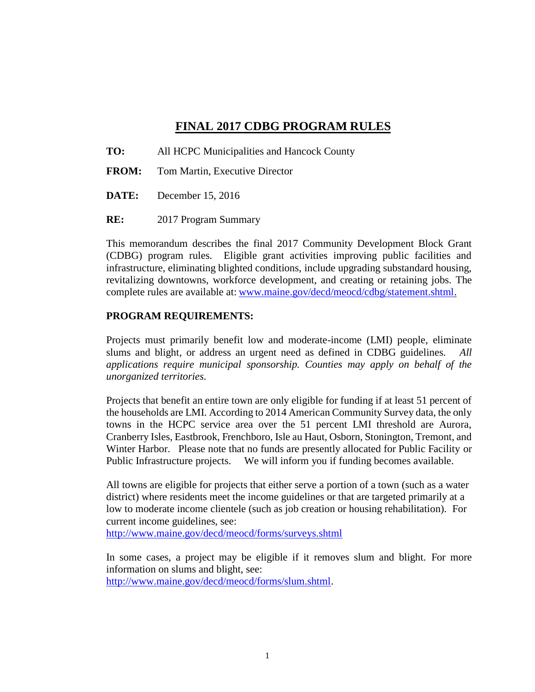## **FINAL 2017 CDBG PROGRAM RULES**

- **TO:** All HCPC Municipalities and Hancock County
- **FROM:** Tom Martin, Executive Director
- **DATE:** December 15, 2016
- **RE:** 2017 Program Summary

This memorandum describes the final 2017 Community Development Block Grant (CDBG) program rules. Eligible grant activities improving public facilities and infrastructure, eliminating blighted conditions, include upgrading substandard housing, revitalizing downtowns, workforce development, and creating or retaining jobs. The complete rules are available at: [www.maine.gov/decd/meocd/cdbg/statement.shtml.](http://www.maine.gov/decd/meocd/cdbg/statement.shtml)

### **PROGRAM REQUIREMENTS:**

Projects must primarily benefit low and moderate-income (LMI) people, eliminate slums and blight, or address an urgent need as defined in CDBG guidelines. *All applications require municipal sponsorship. Counties may apply on behalf of the unorganized territories.*

Projects that benefit an entire town are only eligible for funding if at least 51 percent of the households are LMI. According to 2014 American Community Survey data, the only towns in the HCPC service area over the 51 percent LMI threshold are Aurora, Cranberry Isles, Eastbrook, Frenchboro, Isle au Haut, Osborn, Stonington, Tremont, and Winter Harbor. Please note that no funds are presently allocated for Public Facility or Public Infrastructure projects. We will inform you if funding becomes available.

All towns are eligible for projects that either serve a portion of a town (such as a water district) where residents meet the income guidelines or that are targeted primarily at a low to moderate income clientele (such as job creation or housing rehabilitation). For current income guidelines, see:

<http://www.maine.gov/decd/meocd/forms/surveys.shtml>

In some cases, a project may be eligible if it removes slum and blight. For more information on slums and blight, see: [http://www.maine.gov/decd/meocd/forms/slum.shtml.](http://www.maine.gov/decd/meocd/forms/slum.shtml)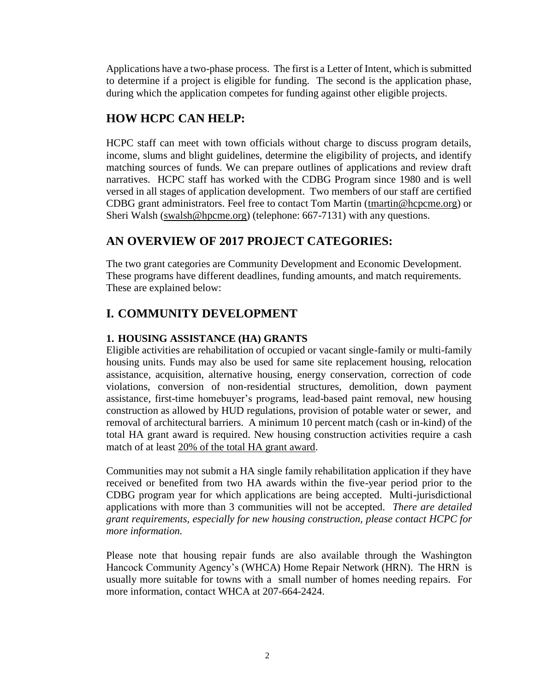Applications have a two-phase process. The first is a Letter of Intent, which is submitted to determine if a project is eligible for funding. The second is the application phase, during which the application competes for funding against other eligible projects.

# **HOW HCPC CAN HELP:**

HCPC staff can meet with town officials without charge to discuss program details, income, slums and blight guidelines, determine the eligibility of projects, and identify matching sources of funds. We can prepare outlines of applications and review draft narratives. HCPC staff has worked with the CDBG Program since 1980 and is well versed in all stages of application development. Two members of our staff are certified CDBG grant administrators. Feel free to contact Tom Martin [\(tmartin@hcpcme.org\)](mailto:tmartin@hcpcme.org) or Sheri Walsh [\(swalsh@hpcme.org\)](mailto:swalsh@hpcme.org) (telephone: 667-7131) with any questions.

# **AN OVERVIEW OF 2017 PROJECT CATEGORIES:**

The two grant categories are Community Development and Economic Development. These programs have different deadlines, funding amounts, and match requirements. These are explained below:

# **I. COMMUNITY DEVELOPMENT**

### **1. HOUSING ASSISTANCE (HA) GRANTS**

Eligible activities are rehabilitation of occupied or vacant single-family or multi-family housing units. Funds may also be used for same site replacement housing, relocation assistance, acquisition, alternative housing, energy conservation, correction of code violations, conversion of non-residential structures, demolition, down payment assistance, first-time homebuyer's programs, lead-based paint removal, new housing construction as allowed by HUD regulations, provision of potable water or sewer, and removal of architectural barriers. A minimum 10 percent match (cash or in-kind) of the total HA grant award is required. New housing construction activities require a cash match of at least 20% of the total HA grant award.

Communities may not submit a HA single family rehabilitation application if they have received or benefited from two HA awards within the five-year period prior to the CDBG program year for which applications are being accepted. Multi-jurisdictional applications with more than 3 communities will not be accepted. *There are detailed grant requirements, especially for new housing construction, please contact HCPC for more information.*

Please note that housing repair funds are also available through the Washington Hancock Community Agency's (WHCA) Home Repair Network (HRN). The HRN is usually more suitable for towns with a small number of homes needing repairs. For more information, contact WHCA at 207-664-2424.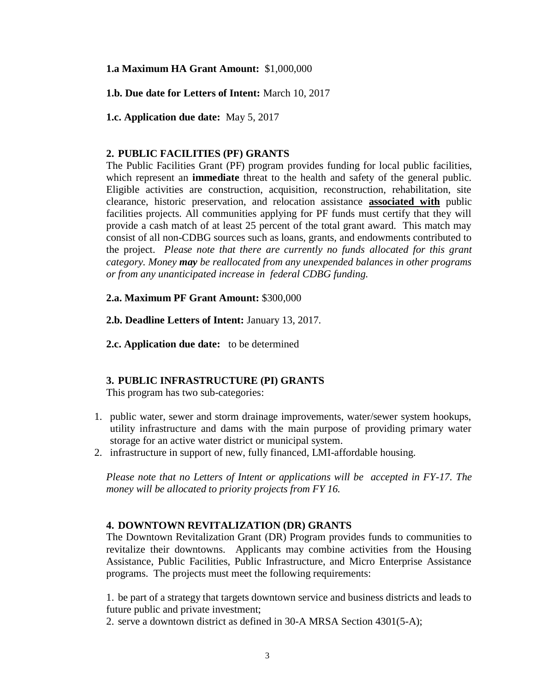**1.a Maximum HA Grant Amount:** \$1,000,000

**1.b. Due date for Letters of Intent:** March 10, 2017

**1.c. Application due date:** May 5, 2017

#### **2. PUBLIC FACILITIES (PF) GRANTS**

The Public Facilities Grant (PF) program provides funding for local public facilities, which represent an **immediate** threat to the health and safety of the general public. Eligible activities are construction, acquisition, reconstruction, rehabilitation, site clearance, historic preservation, and relocation assistance **associated with** public facilities projects. All communities applying for PF funds must certify that they will provide a cash match of at least 25 percent of the total grant award. This match may consist of all non-CDBG sources such as loans, grants, and endowments contributed to the project. *Please note that there are currently no funds allocated for this grant category. Money may be reallocated from any unexpended balances in other programs or from any unanticipated increase in federal CDBG funding.* 

#### **2.a. Maximum PF Grant Amount:** \$300,000

**2.b. Deadline Letters of Intent:** January 13, 2017*.*

**2.c. Application due date:** to be determined

#### **3. PUBLIC INFRASTRUCTURE (PI) GRANTS**

This program has two sub-categories:

- 1. public water, sewer and storm drainage improvements, water/sewer system hookups, utility infrastructure and dams with the main purpose of providing primary water storage for an active water district or municipal system.
- 2. infrastructure in support of new, fully financed, LMI-affordable housing.

*Please note that no Letters of Intent or applications will be accepted in FY-17. The money will be allocated to priority projects from FY 16.*

#### **4. DOWNTOWN REVITALIZATION (DR) GRANTS**

The Downtown Revitalization Grant (DR) Program provides funds to communities to revitalize their downtowns. Applicants may combine activities from the Housing Assistance, Public Facilities, Public Infrastructure, and Micro Enterprise Assistance programs. The projects must meet the following requirements:

1. be part of a strategy that targets downtown service and business districts and leads to future public and private investment;

2. serve a downtown district as defined in 30-A MRSA Section 4301(5-A);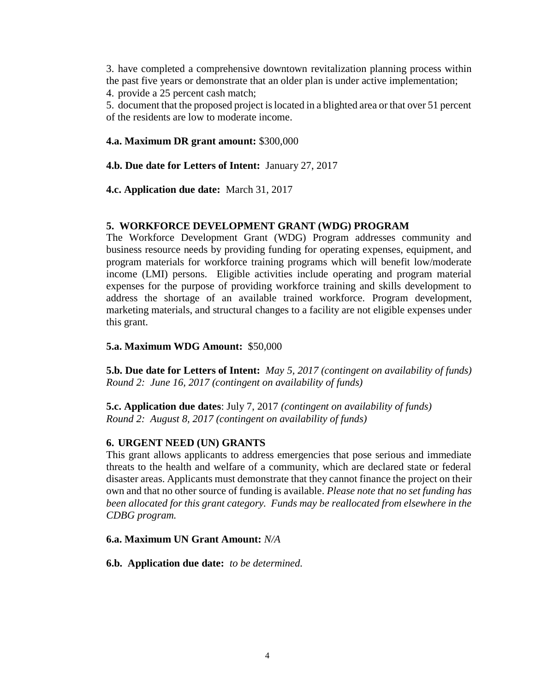3. have completed a comprehensive downtown revitalization planning process within the past five years or demonstrate that an older plan is under active implementation; 4. provide a 25 percent cash match;

5. document that the proposed project is located in a blighted area or that over 51 percent of the residents are low to moderate income.

### **4.a. Maximum DR grant amount:** \$300,000

**4.b. Due date for Letters of Intent:** January 27, 2017

**4.c. Application due date:** March 31, 2017

### **5. WORKFORCE DEVELOPMENT GRANT (WDG) PROGRAM**

The Workforce Development Grant (WDG) Program addresses community and business resource needs by providing funding for operating expenses, equipment, and program materials for workforce training programs which will benefit low/moderate income (LMI) persons. Eligible activities include operating and program material expenses for the purpose of providing workforce training and skills development to address the shortage of an available trained workforce. Program development, marketing materials, and structural changes to a facility are not eligible expenses under this grant.

#### **5.a. Maximum WDG Amount:** \$50,000

**5.b. Due date for Letters of Intent:** *May 5, 2017 (contingent on availability of funds) Round 2: June 16, 2017 (contingent on availability of funds)*

**5.c. Application due dates**: July 7, 2017 *(contingent on availability of funds) Round 2: August 8, 2017 (contingent on availability of funds)*

### **6. URGENT NEED (UN) GRANTS**

This grant allows applicants to address emergencies that pose serious and immediate threats to the health and welfare of a community, which are declared state or federal disaster areas. Applicants must demonstrate that they cannot finance the project on their own and that no other source of funding is available. *Please note that no set funding has been allocated for this grant category. Funds may be reallocated from elsewhere in the CDBG program.*

#### **6.a. Maximum UN Grant Amount:** *N/A*

**6.b. Application due date:** *to be determined.*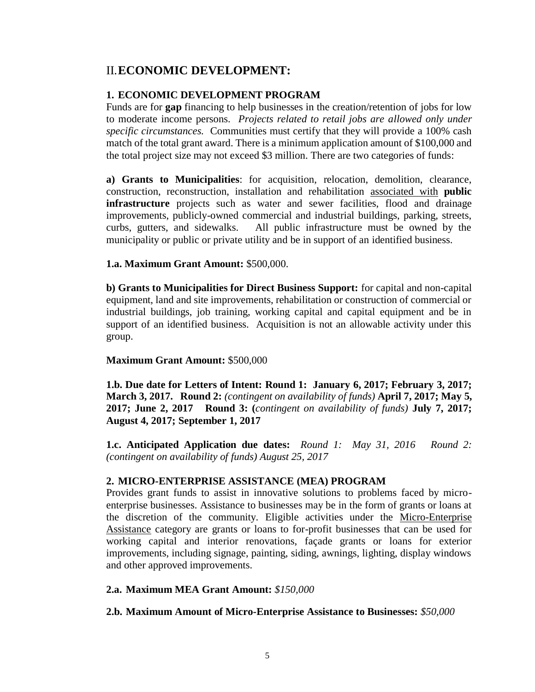## II.**ECONOMIC DEVELOPMENT:**

#### **1. ECONOMIC DEVELOPMENT PROGRAM**

Funds are for **gap** financing to help businesses in the creation/retention of jobs for low to moderate income persons. *Projects related to retail jobs are allowed only under specific circumstances.* Communities must certify that they will provide a 100% cash match of the total grant award. There is a minimum application amount of \$100,000 and the total project size may not exceed \$3 million. There are two categories of funds:

**a) Grants to Municipalities**: for acquisition, relocation, demolition, clearance, construction, reconstruction, installation and rehabilitation associated with **public infrastructure** projects such as water and sewer facilities, flood and drainage improvements, publicly-owned commercial and industrial buildings, parking, streets, curbs, gutters, and sidewalks. All public infrastructure must be owned by the municipality or public or private utility and be in support of an identified business.

#### **1.a. Maximum Grant Amount:** \$500,000.

**b) Grants to Municipalities for Direct Business Support:** for capital and non-capital equipment, land and site improvements, rehabilitation or construction of commercial or industrial buildings, job training, working capital and capital equipment and be in support of an identified business. Acquisition is not an allowable activity under this group.

#### **Maximum Grant Amount:** \$500,000

**1.b. Due date for Letters of Intent: Round 1: January 6, 2017; February 3, 2017; March 3, 2017. Round 2:** *(contingent on availability of funds)* **April 7, 2017; May 5, 2017; June 2, 2017 Round 3: (***contingent on availability of funds)* **July 7, 2017; August 4, 2017; September 1, 2017**

**1.c. Anticipated Application due dates:** *Round 1: May 31, 2016 Round 2: (contingent on availability of funds) August 25, 2017* 

#### **2. MICRO-ENTERPRISE ASSISTANCE (MEA) PROGRAM**

Provides grant funds to assist in innovative solutions to problems faced by microenterprise businesses. Assistance to businesses may be in the form of grants or loans at the discretion of the community. Eligible activities under the Micro-Enterprise Assistance category are grants or loans to for-profit businesses that can be used for working capital and interior renovations, façade grants or loans for exterior improvements, including signage, painting, siding, awnings, lighting, display windows and other approved improvements.

#### **2.a. Maximum MEA Grant Amount:** *\$150,000*

#### **2.b. Maximum Amount of Micro-Enterprise Assistance to Businesses:** *\$50,000*